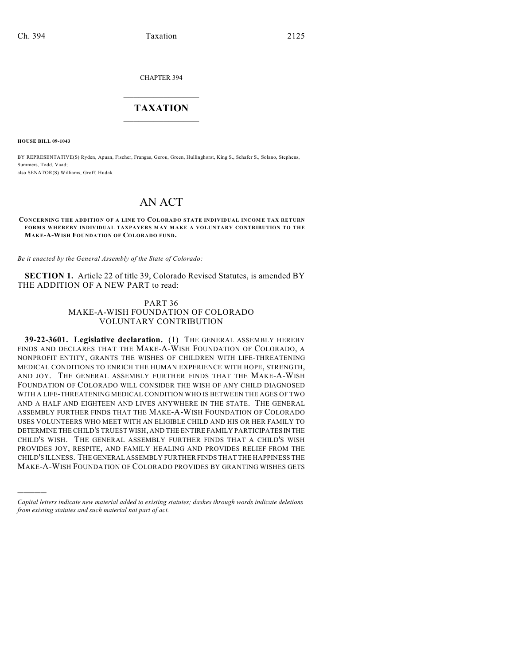CHAPTER 394

## $\mathcal{L}_\text{max}$  . The set of the set of the set of the set of the set of the set of the set of the set of the set of the set of the set of the set of the set of the set of the set of the set of the set of the set of the set **TAXATION**  $\_$

**HOUSE BILL 09-1043**

)))))

BY REPRESENTATIVE(S) Ryden, Apuan, Fischer, Frangas, Gerou, Green, Hullinghorst, King S., Schafer S., Solano, Stephens, Summers, Todd, Vaad; also SENATOR(S) Williams, Groff, Hudak.

# AN ACT

#### **CONCERNING THE ADDITION OF A LINE TO COLORADO STATE INDIVIDUAL INCOME TAX RETURN FORMS WHEREBY INDIVIDUAL TAXPAYERS MAY MAKE A VOLUNTARY CONTRIBUTION TO THE MAK E-A-WISH FOUNDATION OF COLORADO FUND.**

*Be it enacted by the General Assembly of the State of Colorado:*

**SECTION 1.** Article 22 of title 39, Colorado Revised Statutes, is amended BY THE ADDITION OF A NEW PART to read:

### PART 36 MAKE-A-WISH FOUNDATION OF COLORADO VOLUNTARY CONTRIBUTION

**39-22-3601. Legislative declaration.** (1) THE GENERAL ASSEMBLY HEREBY FINDS AND DECLARES THAT THE MAKE-A-WISH FOUNDATION OF COLORADO, A NONPROFIT ENTITY, GRANTS THE WISHES OF CHILDREN WITH LIFE-THREATENING MEDICAL CONDITIONS TO ENRICH THE HUMAN EXPERIENCE WITH HOPE, STRENGTH, AND JOY. THE GENERAL ASSEMBLY FURTHER FINDS THAT THE MAKE-A-WISH FOUNDATION OF COLORADO WILL CONSIDER THE WISH OF ANY CHILD DIAGNOSED WITH A LIFE-THREATENING MEDICAL CONDITION WHO IS BETWEEN THE AGES OF TWO AND A HALF AND EIGHTEEN AND LIVES ANYWHERE IN THE STATE. THE GENERAL ASSEMBLY FURTHER FINDS THAT THE MAKE-A-WISH FOUNDATION OF COLORADO USES VOLUNTEERS WHO MEET WITH AN ELIGIBLE CHILD AND HIS OR HER FAMILY TO DETERMINE THE CHILD'S TRUEST WISH, AND THE ENTIRE FAMILY PARTICIPATES IN THE CHILD'S WISH. THE GENERAL ASSEMBLY FURTHER FINDS THAT A CHILD'S WISH PROVIDES JOY, RESPITE, AND FAMILY HEALING AND PROVIDES RELIEF FROM THE CHILD'S ILLNESS. THE GENERAL ASSEMBLY FURTHER FINDS THAT THE HAPPINESS THE MAKE-A-WISH FOUNDATION OF COLORADO PROVIDES BY GRANTING WISHES GETS

*Capital letters indicate new material added to existing statutes; dashes through words indicate deletions from existing statutes and such material not part of act.*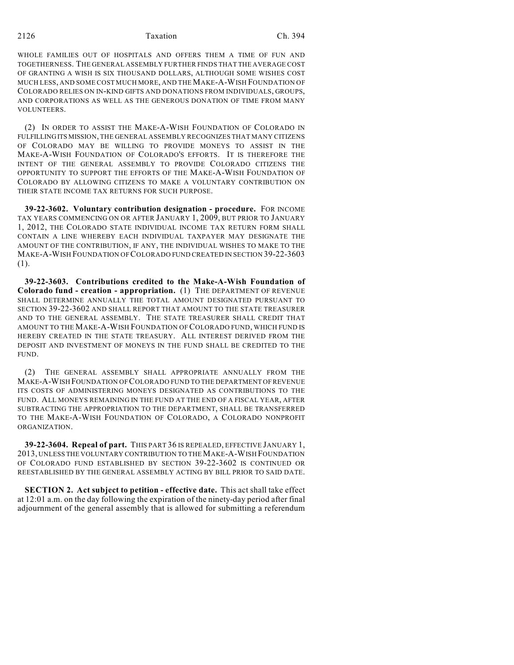#### 2126 Taxation Ch. 394

WHOLE FAMILIES OUT OF HOSPITALS AND OFFERS THEM A TIME OF FUN AND TOGETHERNESS. THE GENERAL ASSEMBLY FURTHER FINDS THAT THE AVERAGE COST OF GRANTING A WISH IS SIX THOUSAND DOLLARS, ALTHOUGH SOME WISHES COST MUCH LESS, AND SOME COST MUCH MORE, AND THE MAKE-A-WISH FOUNDATION OF COLORADO RELIES ON IN-KIND GIFTS AND DONATIONS FROM INDIVIDUALS, GROUPS, AND CORPORATIONS AS WELL AS THE GENEROUS DONATION OF TIME FROM MANY VOLUNTEERS.

(2) IN ORDER TO ASSIST THE MAKE-A-WISH FOUNDATION OF COLORADO IN FULFILLING ITS MISSION, THE GENERAL ASSEMBLY RECOGNIZES THAT MANY CITIZENS OF COLORADO MAY BE WILLING TO PROVIDE MONEYS TO ASSIST IN THE MAKE-A-WISH FOUNDATION OF COLORADO'S EFFORTS. IT IS THEREFORE THE INTENT OF THE GENERAL ASSEMBLY TO PROVIDE COLORADO CITIZENS THE OPPORTUNITY TO SUPPORT THE EFFORTS OF THE MAKE-A-WISH FOUNDATION OF COLORADO BY ALLOWING CITIZENS TO MAKE A VOLUNTARY CONTRIBUTION ON THEIR STATE INCOME TAX RETURNS FOR SUCH PURPOSE.

**39-22-3602. Voluntary contribution designation - procedure.** FOR INCOME TAX YEARS COMMENCING ON OR AFTER JANUARY 1, 2009, BUT PRIOR TO JANUARY 1, 2012, THE COLORADO STATE INDIVIDUAL INCOME TAX RETURN FORM SHALL CONTAIN A LINE WHEREBY EACH INDIVIDUAL TAXPAYER MAY DESIGNATE THE AMOUNT OF THE CONTRIBUTION, IF ANY, THE INDIVIDUAL WISHES TO MAKE TO THE MAKE-A-WISH FOUNDATION OF COLORADO FUND CREATED IN SECTION 39-22-3603 (1).

**39-22-3603. Contributions credited to the Make-A-Wish Foundation of Colorado fund - creation - appropriation.** (1) THE DEPARTMENT OF REVENUE SHALL DETERMINE ANNUALLY THE TOTAL AMOUNT DESIGNATED PURSUANT TO SECTION 39-22-3602 AND SHALL REPORT THAT AMOUNT TO THE STATE TREASURER AND TO THE GENERAL ASSEMBLY. THE STATE TREASURER SHALL CREDIT THAT AMOUNT TO THE MAKE-A-WISH FOUNDATION OF COLORADO FUND, WHICH FUND IS HEREBY CREATED IN THE STATE TREASURY. ALL INTEREST DERIVED FROM THE DEPOSIT AND INVESTMENT OF MONEYS IN THE FUND SHALL BE CREDITED TO THE FUND.

(2) THE GENERAL ASSEMBLY SHALL APPROPRIATE ANNUALLY FROM THE MAKE-A-WISH FOUNDATION OF COLORADO FUND TO THE DEPARTMENT OF REVENUE ITS COSTS OF ADMINISTERING MONEYS DESIGNATED AS CONTRIBUTIONS TO THE FUND. ALL MONEYS REMAINING IN THE FUND AT THE END OF A FISCAL YEAR, AFTER SUBTRACTING THE APPROPRIATION TO THE DEPARTMENT, SHALL BE TRANSFERRED TO THE MAKE-A-WISH FOUNDATION OF COLORADO, A COLORADO NONPROFIT ORGANIZATION.

**39-22-3604. Repeal of part.** THIS PART 36 IS REPEALED, EFFECTIVE JANUARY 1, 2013, UNLESS THE VOLUNTARY CONTRIBUTION TO THE MAKE-A-WISH FOUNDATION OF COLORADO FUND ESTABLISHED BY SECTION 39-22-3602 IS CONTINUED OR REESTABLISHED BY THE GENERAL ASSEMBLY ACTING BY BILL PRIOR TO SAID DATE.

**SECTION 2. Act subject to petition - effective date.** This act shall take effect at 12:01 a.m. on the day following the expiration of the ninety-day period after final adjournment of the general assembly that is allowed for submitting a referendum